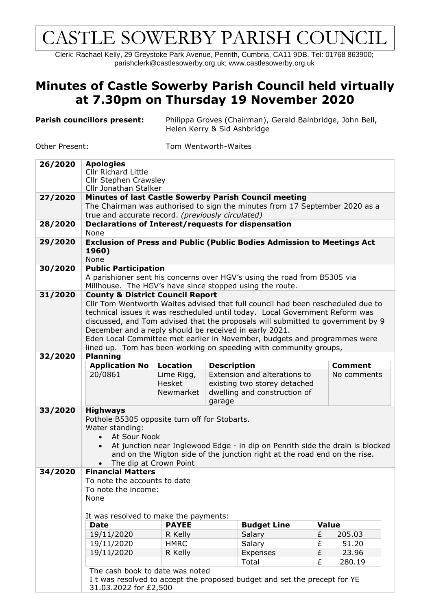## CASTLE SOWERBY PARISH COUNCIL

Clerk: Rachael Kelly, 29 Greystoke Park Avenue, Penrith, Cumbria, CA11 9DB. Tel: 01768 863900; parishclerk@castlesowerby.org.uk; [www.castlesowerby.org.uk](http://www.castlesowerby.org.uk/)

## **Minutes of Castle Sowerby Parish Council held virtually at 7.30pm on Thursday 19 November 2020**

| Parish councillors present: | Philippa Groves (Chairman), Gerald Bainbridge, John Bell, |
|-----------------------------|-----------------------------------------------------------|
|                             | Helen Kerry & Sid Ashbridge                               |

Other Present: Tom Wentworth-Waites

| 26/2020 | <b>Apologies</b>                                                                                                                                                                                                                                                                                                                                                                                                                                                                                              |                 |                              |                                                                           |   |                |  |  |
|---------|---------------------------------------------------------------------------------------------------------------------------------------------------------------------------------------------------------------------------------------------------------------------------------------------------------------------------------------------------------------------------------------------------------------------------------------------------------------------------------------------------------------|-----------------|------------------------------|---------------------------------------------------------------------------|---|----------------|--|--|
|         | <b>Cllr Richard Little</b><br>Cllr Stephen Crawsley                                                                                                                                                                                                                                                                                                                                                                                                                                                           |                 |                              |                                                                           |   |                |  |  |
|         | Cllr Jonathan Stalker                                                                                                                                                                                                                                                                                                                                                                                                                                                                                         |                 |                              |                                                                           |   |                |  |  |
| 27/2020 | <b>Minutes of last Castle Sowerby Parish Council meeting</b>                                                                                                                                                                                                                                                                                                                                                                                                                                                  |                 |                              |                                                                           |   |                |  |  |
|         | The Chairman was authorised to sign the minutes from 17 September 2020 as a<br>true and accurate record. (previously circulated)                                                                                                                                                                                                                                                                                                                                                                              |                 |                              |                                                                           |   |                |  |  |
|         |                                                                                                                                                                                                                                                                                                                                                                                                                                                                                                               |                 |                              |                                                                           |   |                |  |  |
| 28/2020 | Declarations of Interest/requests for dispensation                                                                                                                                                                                                                                                                                                                                                                                                                                                            |                 |                              |                                                                           |   |                |  |  |
|         | None                                                                                                                                                                                                                                                                                                                                                                                                                                                                                                          |                 |                              |                                                                           |   |                |  |  |
| 29/2020 | <b>Exclusion of Press and Public (Public Bodies Admission to Meetings Act</b><br>1960)                                                                                                                                                                                                                                                                                                                                                                                                                        |                 |                              |                                                                           |   |                |  |  |
|         | None                                                                                                                                                                                                                                                                                                                                                                                                                                                                                                          |                 |                              |                                                                           |   |                |  |  |
| 30/2020 | <b>Public Participation</b>                                                                                                                                                                                                                                                                                                                                                                                                                                                                                   |                 |                              |                                                                           |   |                |  |  |
|         | A parishioner sent his concerns over HGV's using the road from B5305 via                                                                                                                                                                                                                                                                                                                                                                                                                                      |                 |                              |                                                                           |   |                |  |  |
|         | Millhouse. The HGV's have since stopped using the route.                                                                                                                                                                                                                                                                                                                                                                                                                                                      |                 |                              |                                                                           |   |                |  |  |
| 31/2020 | <b>County &amp; District Council Report</b><br>Cllr Tom Wentworth Waites advised that full council had been rescheduled due to<br>technical issues it was rescheduled until today. Local Government Reform was<br>discussed, and Tom advised that the proposals will submitted to government by 9<br>December and a reply should be received in early 2021.<br>Eden Local Committee met earlier in November, budgets and programmes were<br>lined up. Tom has been working on speeding with community groups, |                 |                              |                                                                           |   |                |  |  |
|         |                                                                                                                                                                                                                                                                                                                                                                                                                                                                                                               |                 |                              |                                                                           |   |                |  |  |
|         |                                                                                                                                                                                                                                                                                                                                                                                                                                                                                                               |                 |                              |                                                                           |   |                |  |  |
|         |                                                                                                                                                                                                                                                                                                                                                                                                                                                                                                               |                 |                              |                                                                           |   |                |  |  |
|         |                                                                                                                                                                                                                                                                                                                                                                                                                                                                                                               |                 |                              |                                                                           |   |                |  |  |
|         |                                                                                                                                                                                                                                                                                                                                                                                                                                                                                                               |                 |                              |                                                                           |   |                |  |  |
| 32/2020 | <b>Planning</b>                                                                                                                                                                                                                                                                                                                                                                                                                                                                                               |                 |                              |                                                                           |   |                |  |  |
|         | <b>Application No</b>                                                                                                                                                                                                                                                                                                                                                                                                                                                                                         | <b>Location</b> | <b>Description</b>           |                                                                           |   | <b>Comment</b> |  |  |
|         | 20/0861                                                                                                                                                                                                                                                                                                                                                                                                                                                                                                       | Lime Rigg,      |                              | Extension and alterations to                                              |   | No comments    |  |  |
|         |                                                                                                                                                                                                                                                                                                                                                                                                                                                                                                               | <b>Hesket</b>   | existing two storey detached |                                                                           |   |                |  |  |
|         |                                                                                                                                                                                                                                                                                                                                                                                                                                                                                                               | Newmarket       |                              | dwelling and construction of                                              |   |                |  |  |
|         |                                                                                                                                                                                                                                                                                                                                                                                                                                                                                                               |                 | garage                       |                                                                           |   |                |  |  |
| 33/2020 | <b>Highways</b>                                                                                                                                                                                                                                                                                                                                                                                                                                                                                               |                 |                              |                                                                           |   |                |  |  |
|         | Pothole B5305 opposite turn off for Stobarts.                                                                                                                                                                                                                                                                                                                                                                                                                                                                 |                 |                              |                                                                           |   |                |  |  |
|         | Water standing:                                                                                                                                                                                                                                                                                                                                                                                                                                                                                               |                 |                              |                                                                           |   |                |  |  |
|         | At Sour Nook<br>$\bullet$<br>At junction near Inglewood Edge - in dip on Penrith side the drain is blocked<br>$\bullet$                                                                                                                                                                                                                                                                                                                                                                                       |                 |                              |                                                                           |   |                |  |  |
|         |                                                                                                                                                                                                                                                                                                                                                                                                                                                                                                               |                 |                              | and on the Wigton side of the junction right at the road end on the rise. |   |                |  |  |
|         | The dip at Crown Point                                                                                                                                                                                                                                                                                                                                                                                                                                                                                        |                 |                              |                                                                           |   |                |  |  |
| 34/2020 | <b>Financial Matters</b>                                                                                                                                                                                                                                                                                                                                                                                                                                                                                      |                 |                              |                                                                           |   |                |  |  |
|         | To note the accounts to date<br>To note the income:                                                                                                                                                                                                                                                                                                                                                                                                                                                           |                 |                              |                                                                           |   |                |  |  |
|         |                                                                                                                                                                                                                                                                                                                                                                                                                                                                                                               |                 |                              |                                                                           |   |                |  |  |
|         | None                                                                                                                                                                                                                                                                                                                                                                                                                                                                                                          |                 |                              |                                                                           |   |                |  |  |
|         |                                                                                                                                                                                                                                                                                                                                                                                                                                                                                                               |                 |                              |                                                                           |   |                |  |  |
|         | It was resolved to make the payments:                                                                                                                                                                                                                                                                                                                                                                                                                                                                         |                 |                              |                                                                           |   |                |  |  |
|         | <b>Date</b>                                                                                                                                                                                                                                                                                                                                                                                                                                                                                                   | <b>PAYEE</b>    |                              | <b>Budget Line</b>                                                        |   | <b>Value</b>   |  |  |
|         | 19/11/2020                                                                                                                                                                                                                                                                                                                                                                                                                                                                                                    | R Kelly         |                              | Salary                                                                    | £ | 205.03         |  |  |
|         | 19/11/2020                                                                                                                                                                                                                                                                                                                                                                                                                                                                                                    | <b>HMRC</b>     |                              | Salary                                                                    | £ | 51.20          |  |  |
|         | 19/11/2020                                                                                                                                                                                                                                                                                                                                                                                                                                                                                                    | R Kelly         |                              | Expenses                                                                  | £ | 23.96          |  |  |
|         | Total<br>£<br>280.19<br>The cash book to date was noted<br>I t was resolved to accept the proposed budget and set the precept for YE                                                                                                                                                                                                                                                                                                                                                                          |                 |                              |                                                                           |   |                |  |  |
|         |                                                                                                                                                                                                                                                                                                                                                                                                                                                                                                               |                 |                              |                                                                           |   |                |  |  |
|         |                                                                                                                                                                                                                                                                                                                                                                                                                                                                                                               |                 |                              |                                                                           |   |                |  |  |